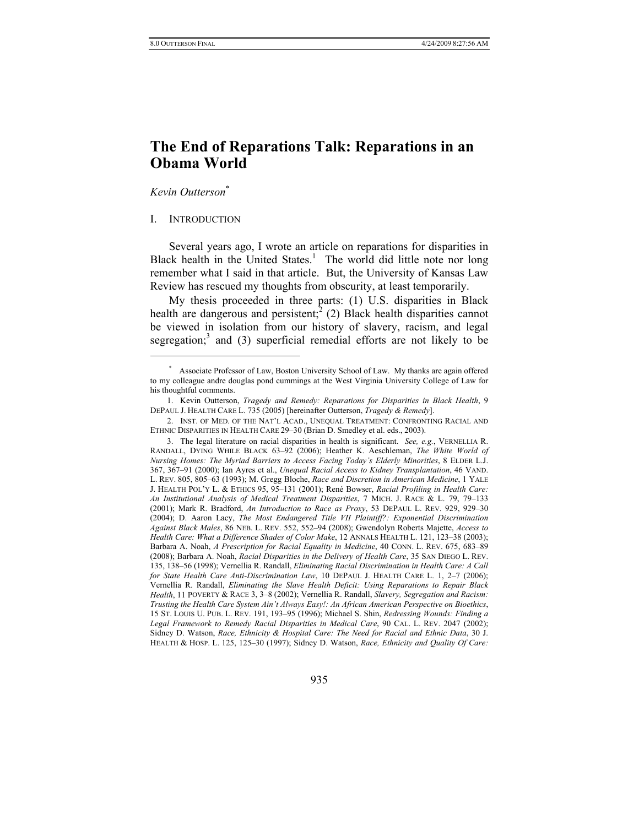# **The End of Reparations Talk: Reparations in an Obama World**

*Kevin Outterson*\*

 $\overline{\phantom{a}}$ 

## I. INTRODUCTION

Several years ago, I wrote an article on reparations for disparities in Black health in the United States.<sup>1</sup> The world did little note nor long remember what I said in that article. But, the University of Kansas Law Review has rescued my thoughts from obscurity, at least temporarily.

My thesis proceeded in three parts: (1) U.S. disparities in Black health are dangerous and persistent;<sup>2</sup> (2) Black health disparities cannot be viewed in isolation from our history of slavery, racism, and legal segregation;<sup>3</sup> and (3) superficial remedial efforts are not likely to be

Associate Professor of Law, Boston University School of Law. My thanks are again offered to my colleague andre douglas pond cummings at the West Virginia University College of Law for his thoughtful comments.

 <sup>1.</sup> Kevin Outterson, *Tragedy and Remedy: Reparations for Disparities in Black Health*, 9 DEPAUL J. HEALTH CARE L. 735 (2005) [hereinafter Outterson, *Tragedy & Remedy*].

 <sup>2.</sup> INST. OF MED. OF THE NAT'L ACAD., UNEQUAL TREATMENT: CONFRONTING RACIAL AND ETHNIC DISPARITIES IN HEALTH CARE 29–30 (Brian D. Smedley et al. eds., 2003).

 <sup>3.</sup> The legal literature on racial disparities in health is significant. *See, e.g.*, VERNELLIA R. RANDALL, DYING WHILE BLACK 63–92 (2006); Heather K. Aeschleman, *The White World of Nursing Homes: The Myriad Barriers to Access Facing Today's Elderly Minorities*, 8 ELDER L.J. 367, 367–91 (2000); Ian Ayres et al., *Unequal Racial Access to Kidney Transplantation*, 46 VAND. L. REV. 805, 805–63 (1993); M. Gregg Bloche, *Race and Discretion in American Medicine*, 1 YALE J. HEALTH POL'Y L. & ETHICS 95, 95–131 (2001); René Bowser, *Racial Profiling in Health Care: An Institutional Analysis of Medical Treatment Disparities*, 7 MICH. J. RACE & L. 79, 79–133 (2001); Mark R. Bradford, *An Introduction to Race as Proxy*, 53 DEPAUL L. REV. 929, 929–30 (2004); D. Aaron Lacy, *The Most Endangered Title VII Plaintiff?: Exponential Discrimination Against Black Males*, 86 NEB. L. REV. 552, 552–94 (2008); Gwendolyn Roberts Majette, *Access to Health Care: What a Difference Shades of Color Make*, 12 ANNALS HEALTH L. 121, 123–38 (2003); Barbara A. Noah, *A Prescription for Racial Equality in Medicine*, 40 CONN. L. REV. 675, 683–89 (2008); Barbara A. Noah, *Racial Disparities in the Delivery of Health Care*, 35 SAN DIEGO L. REV. 135, 138–56 (1998); Vernellia R. Randall, *Eliminating Racial Discrimination in Health Care: A Call for State Health Care Anti-Discrimination Law*, 10 DEPAUL J. HEALTH CARE L. 1, 2–7 (2006); Vernellia R. Randall, *Eliminating the Slave Health Deficit: Using Reparations to Repair Black Health*, 11 POVERTY & RACE 3, 3–8 (2002); Vernellia R. Randall, *Slavery, Segregation and Racism: Trusting the Health Care System Ain't Always Easy!: An African American Perspective on Bioethics*, 15 ST. LOUIS U. PUB. L. REV. 191, 193–95 (1996); Michael S. Shin, *Redressing Wounds: Finding a Legal Framework to Remedy Racial Disparities in Medical Care*, 90 CAL. L. REV. 2047 (2002); Sidney D. Watson, *Race, Ethnicity & Hospital Care: The Need for Racial and Ethnic Data*, 30 J. HEALTH & HOSP. L. 125, 125–30 (1997); Sidney D. Watson, *Race, Ethnicity and Quality Of Care:*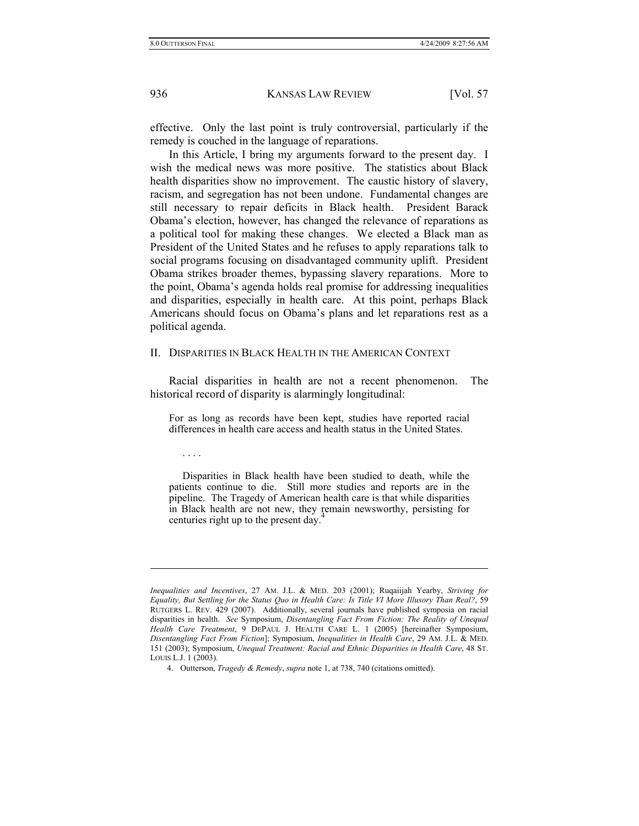effective. Only the last point is truly controversial, particularly if the remedy is couched in the language of reparations.

In this Article, I bring my arguments forward to the present day. I wish the medical news was more positive. The statistics about Black health disparities show no improvement. The caustic history of slavery, racism, and segregation has not been undone. Fundamental changes are still necessary to repair deficits in Black health. President Barack Obama's election, however, has changed the relevance of reparations as a political tool for making these changes. We elected a Black man as President of the United States and he refuses to apply reparations talk to social programs focusing on disadvantaged community uplift. President Obama strikes broader themes, bypassing slavery reparations. More to the point, Obama's agenda holds real promise for addressing inequalities and disparities, especially in health care. At this point, perhaps Black Americans should focus on Obama's plans and let reparations rest as a political agenda.

## II. DISPARITIES IN BLACK HEALTH IN THE AMERICAN CONTEXT

Racial disparities in health are not a recent phenomenon. The historical record of disparity is alarmingly longitudinal:

For as long as records have been kept, studies have reported racial differences in health care access and health status in the United States.

. . . .

l

 Disparities in Black health have been studied to death, while the patients continue to die. Still more studies and reports are in the pipeline. The Tragedy of American health care is that while disparities in Black health are not new, they remain newsworthy, persisting for centuries right up to the present day.<sup>4</sup>

*Inequalities and Incentives*, 27 AM. J.L. & MED. 203 (2001); Ruqaiijah Yearby, *Striving for Equality, But Settling for the Status Quo in Health Care: Is Title VI More Illusory Than Real?*, 59 RUTGERS L. REV. 429 (2007). Additionally, several journals have published symposia on racial disparities in health. *See* Symposium, *Disentangling Fact From Fiction: The Reality of Unequal Health Care Treatment*, 9 DEPAUL J. HEALTH CARE L. 1 (2005) [hereinafter Symposium, *Disentangling Fact From Fiction*]; Symposium, *Inequalities in Health Care*, 29 AM. J.L. & MED. 151 (2003); Symposium, *Unequal Treatment: Racial and Ethnic Disparities in Health Care*, 48 ST. LOUIS L.J. 1 (2003).

 <sup>4.</sup> Outterson, *Tragedy & Remedy*, *supra* note 1, at 738, 740 (citations omitted).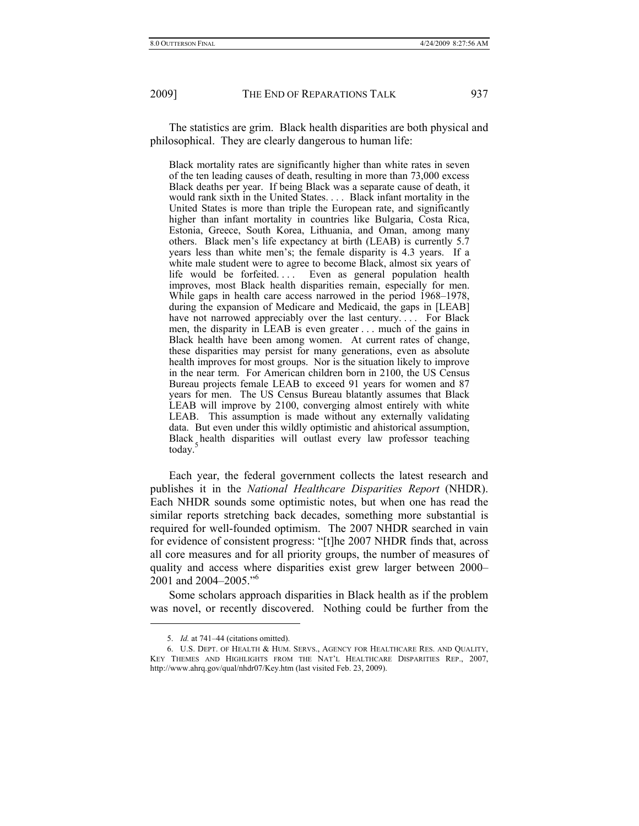The statistics are grim. Black health disparities are both physical and philosophical. They are clearly dangerous to human life:

Black mortality rates are significantly higher than white rates in seven of the ten leading causes of death, resulting in more than 73,000 excess Black deaths per year. If being Black was a separate cause of death, it would rank sixth in the United States. . . . Black infant mortality in the United States is more than triple the European rate, and significantly higher than infant mortality in countries like Bulgaria, Costa Rica, Estonia, Greece, South Korea, Lithuania, and Oman, among many others. Black men's life expectancy at birth (LEAB) is currently 5.7 years less than white men's; the female disparity is 4.3 years. If a white male student were to agree to become Black, almost six years of life would be forfeited.... Even as general population health improves, most Black health disparities remain, especially for men. While gaps in health care access narrowed in the period 1968–1978, during the expansion of Medicare and Medicaid, the gaps in [LEAB] have not narrowed appreciably over the last century.... For Black men, the disparity in LEAB is even greater . . . much of the gains in Black health have been among women. At current rates of change, these disparities may persist for many generations, even as absolute health improves for most groups. Nor is the situation likely to improve in the near term. For American children born in 2100, the US Census Bureau projects female LEAB to exceed 91 years for women and 87 years for men. The US Census Bureau blatantly assumes that Black LEAB will improve by 2100, converging almost entirely with white LEAB. This assumption is made without any externally validating data. But even under this wildly optimistic and ahistorical assumption, Black health disparities will outlast every law professor teaching today.

Each year, the federal government collects the latest research and publishes it in the *National Healthcare Disparities Report* (NHDR). Each NHDR sounds some optimistic notes, but when one has read the similar reports stretching back decades, something more substantial is required for well-founded optimism. The 2007 NHDR searched in vain for evidence of consistent progress: "[t]he 2007 NHDR finds that, across all core measures and for all priority groups, the number of measures of quality and access where disparities exist grew larger between 2000– 2001 and 2004–2005."6

Some scholars approach disparities in Black health as if the problem was novel, or recently discovered. Nothing could be further from the

 <sup>5.</sup> *Id.* at 741–44 (citations omitted).

 <sup>6.</sup> U.S. DEPT. OF HEALTH & HUM. SERVS., AGENCY FOR HEALTHCARE RES. AND QUALITY, KEY THEMES AND HIGHLIGHTS FROM THE NAT'L HEALTHCARE DISPARITIES REP., 2007, http://www.ahrq.gov/qual/nhdr07/Key.htm (last visited Feb. 23, 2009).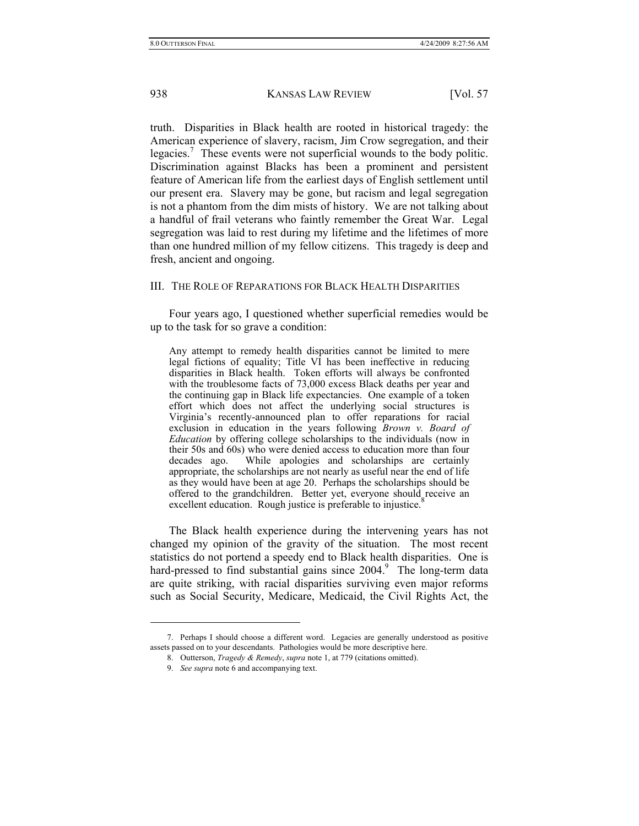truth. Disparities in Black health are rooted in historical tragedy: the American experience of slavery, racism, Jim Crow segregation, and their legacies.<sup>7</sup> These events were not superficial wounds to the body politic. Discrimination against Blacks has been a prominent and persistent feature of American life from the earliest days of English settlement until our present era. Slavery may be gone, but racism and legal segregation is not a phantom from the dim mists of history. We are not talking about a handful of frail veterans who faintly remember the Great War. Legal segregation was laid to rest during my lifetime and the lifetimes of more than one hundred million of my fellow citizens. This tragedy is deep and fresh, ancient and ongoing.

### III. THE ROLE OF REPARATIONS FOR BLACK HEALTH DISPARITIES

Four years ago, I questioned whether superficial remedies would be up to the task for so grave a condition:

Any attempt to remedy health disparities cannot be limited to mere legal fictions of equality; Title VI has been ineffective in reducing disparities in Black health. Token efforts will always be confronted with the troublesome facts of 73,000 excess Black deaths per year and the continuing gap in Black life expectancies. One example of a token effort which does not affect the underlying social structures is Virginia's recently-announced plan to offer reparations for racial exclusion in education in the years following *Brown v. Board of Education* by offering college scholarships to the individuals (now in their 50s and 60s) who were denied access to education more than four decades ago. While apologies and scholarships are certainly appropriate, the scholarships are not nearly as useful near the end of life as they would have been at age 20. Perhaps the scholarships should be offered to the grandchildren. Better yet, everyone should receive an excellent education. Rough justice is preferable to injustice.<sup>8</sup>

The Black health experience during the intervening years has not changed my opinion of the gravity of the situation. The most recent statistics do not portend a speedy end to Black health disparities. One is hard-pressed to find substantial gains since 2004.<sup>9</sup> The long-term data are quite striking, with racial disparities surviving even major reforms such as Social Security, Medicare, Medicaid, the Civil Rights Act, the

 <sup>7.</sup> Perhaps I should choose a different word. Legacies are generally understood as positive assets passed on to your descendants. Pathologies would be more descriptive here.

 <sup>8.</sup> Outterson, *Tragedy & Remedy*, *supra* note 1, at 779 (citations omitted).

<sup>9.</sup> *See supra* note 6 and accompanying text.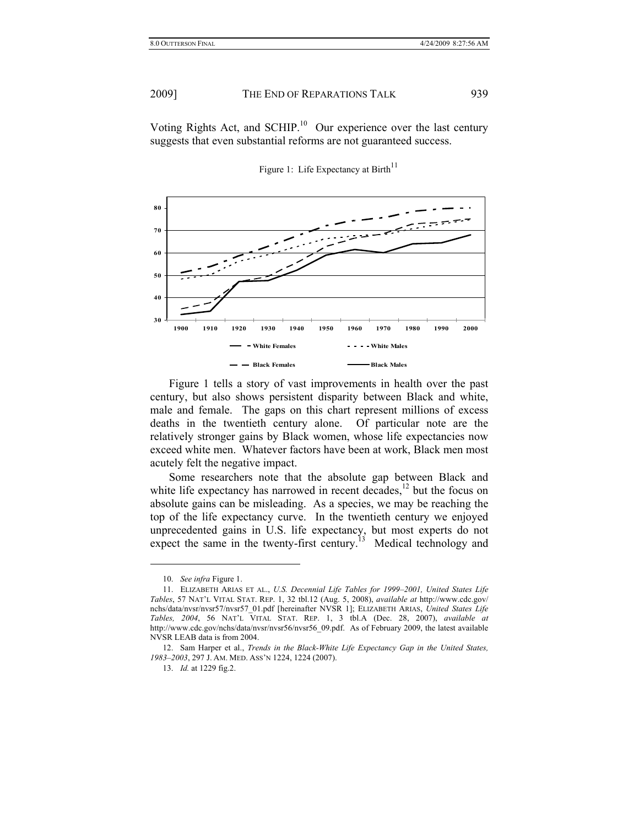Voting Rights Act, and SCHIP.<sup>10</sup> Our experience over the last century suggests that even substantial reforms are not guaranteed success.





Figure 1 tells a story of vast improvements in health over the past century, but also shows persistent disparity between Black and white, male and female. The gaps on this chart represent millions of excess deaths in the twentieth century alone. Of particular note are the relatively stronger gains by Black women, whose life expectancies now exceed white men. Whatever factors have been at work, Black men most acutely felt the negative impact.

Some researchers note that the absolute gap between Black and white life expectancy has narrowed in recent decades, $12$  but the focus on absolute gains can be misleading. As a species, we may be reaching the top of the life expectancy curve. In the twentieth century we enjoyed unprecedented gains in U.S. life expectancy, but most experts do not expect the same in the twenty-first century.<sup>13</sup> Medical technology and

<sup>10.</sup> *See infra* Figure 1.

 <sup>11.</sup> ELIZABETH ARIAS ET AL., *U.S. Decennial Life Tables for 1999–2001, United States Life Tables*, 57 NAT'L VITAL STAT. REP. 1, 32 tbl.12 (Aug. 5, 2008), *available at* http://www.cdc.gov/ nchs/data/nvsr/nvsr57/nvsr57\_01.pdf [hereinafter NVSR 1]; ELIZABETH ARIAS, *United States Life Tables, 2004*, 56 NAT'L VITAL STAT. REP. 1, 3 tbl.A (Dec. 28, 2007), *available at* http://www.cdc.gov/nchs/data/nvsr/nvsr56/nvsr56\_09.pdf. As of February 2009, the latest available NVSR LEAB data is from 2004.

 <sup>12.</sup> Sam Harper et al., *Trends in the Black-White Life Expectancy Gap in the United States, 1983–2003*, 297 J. AM. MED. ASS'N 1224, 1224 (2007).

<sup>13.</sup> *Id.* at 1229 fig.2.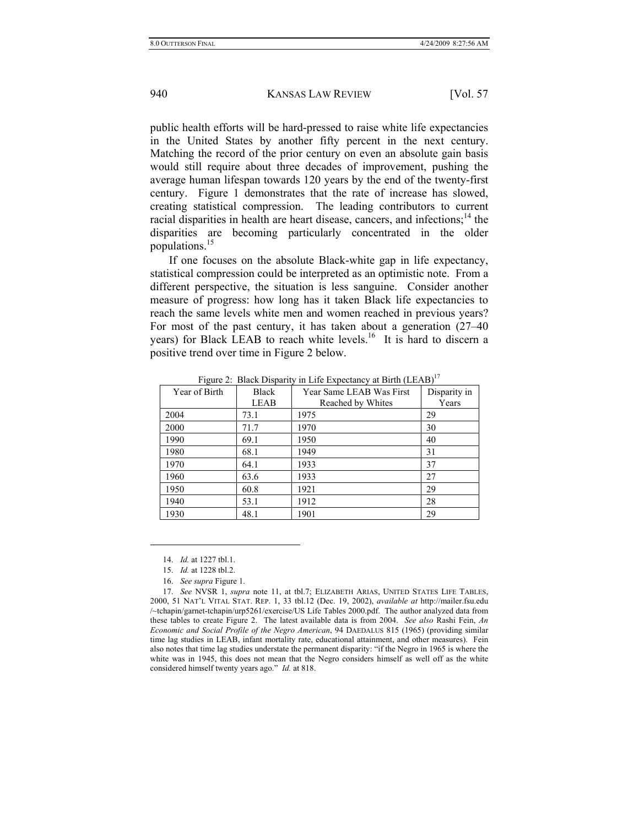public health efforts will be hard-pressed to raise white life expectancies in the United States by another fifty percent in the next century. Matching the record of the prior century on even an absolute gain basis would still require about three decades of improvement, pushing the average human lifespan towards 120 years by the end of the twenty-first century. Figure 1 demonstrates that the rate of increase has slowed, creating statistical compression. The leading contributors to current racial disparities in health are heart disease, cancers, and infections;<sup>14</sup> the disparities are becoming particularly concentrated in the older populations.15

If one focuses on the absolute Black-white gap in life expectancy, statistical compression could be interpreted as an optimistic note. From a different perspective, the situation is less sanguine. Consider another measure of progress: how long has it taken Black life expectancies to reach the same levels white men and women reached in previous years? For most of the past century, it has taken about a generation (27–40 years) for Black LEAB to reach white levels.<sup>16</sup> It is hard to discern a positive trend over time in Figure 2 below.

| Year of Birth | <b>Black</b><br>LEAB | Year Same LEAB Was First<br>Reached by Whites | Disparity in<br>Years |
|---------------|----------------------|-----------------------------------------------|-----------------------|
| 2004          | 73.1                 | 1975                                          | 29                    |
| 2000          | 71.7                 | 1970                                          | 30                    |
| 1990          | 69.1                 | 1950                                          | 40                    |
| 1980          | 68.1                 | 1949                                          | 31                    |
| 1970          | 64.1                 | 1933                                          | 37                    |
| 1960          | 63.6                 | 1933                                          | 27                    |
| 1950          | 60.8                 | 1921                                          | 29                    |
| 1940          | 53.1                 | 1912                                          | 28                    |
| 1930          | 48.1                 | 1901                                          | 29                    |

Figure 2: Black Disparity in Life Expectancy at Birth (LEAB)<sup>17</sup>

<sup>14.</sup> *Id.* at 1227 tbl.1.

<sup>15.</sup> *Id.* at 1228 tbl.2.

<sup>16.</sup> *See supra* Figure 1.

<sup>17.</sup> *See* NVSR 1, *supra* note 11, at tbl.7; ELIZABETH ARIAS, UNITED STATES LIFE TABLES, 2000, 51 NAT'L VITAL STAT. REP. 1, 33 tbl.12 (Dec. 19, 2002), *available at* http://mailer.fsu.edu /~tchapin/garnet-tchapin/urp5261/exercise/US Life Tables 2000.pdf. The author analyzed data from these tables to create Figure 2. The latest available data is from 2004. *See also* Rashi Fein, *An Economic and Social Profile of the Negro American*, 94 DAEDALUS 815 (1965) (providing similar time lag studies in LEAB, infant mortality rate, educational attainment, and other measures). Fein also notes that time lag studies understate the permanent disparity: "if the Negro in 1965 is where the white was in 1945, this does not mean that the Negro considers himself as well off as the white considered himself twenty years ago." *Id.* at 818.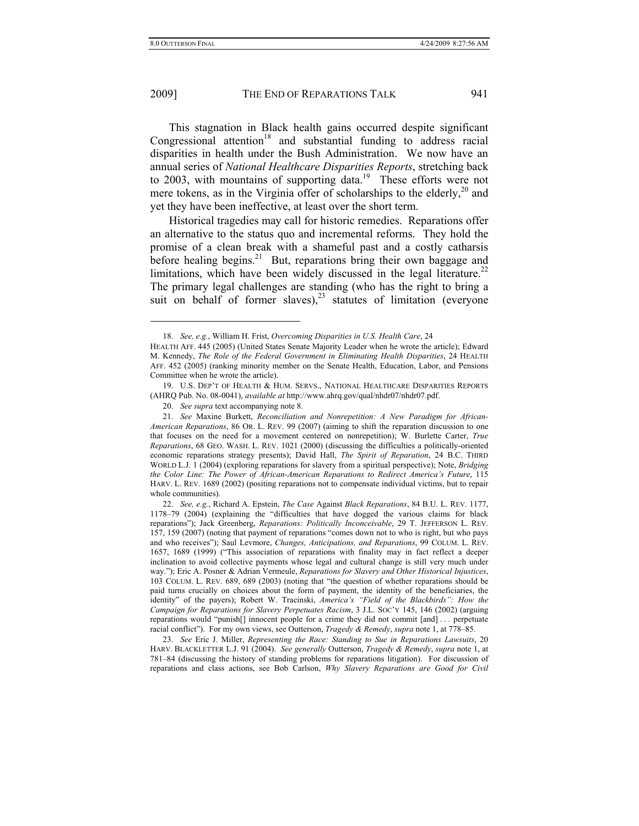$\overline{\phantom{a}}$ 

### 2009] THE END OF REPARATIONS TALK 941

This stagnation in Black health gains occurred despite significant Congressional attention<sup>18</sup> and substantial funding to address racial disparities in health under the Bush Administration. We now have an annual series of *National Healthcare Disparities Reports*, stretching back to 2003, with mountains of supporting data.<sup>19</sup> These efforts were not mere tokens, as in the Virginia offer of scholarships to the elderly,  $^{20}$  and yet they have been ineffective, at least over the short term.

Historical tragedies may call for historic remedies. Reparations offer an alternative to the status quo and incremental reforms. They hold the promise of a clean break with a shameful past and a costly catharsis before healing begins.<sup>21</sup> But, reparations bring their own baggage and limitations, which have been widely discussed in the legal literature.<sup>22</sup> The primary legal challenges are standing (who has the right to bring a suit on behalf of former slaves), $^{23}$  statutes of limitation (everyone

<sup>18.</sup> *See, e.g.*, William H. Frist, *Overcoming Disparities in U.S. Health Care*, 24

HEALTH AFF. 445 (2005) (United States Senate Majority Leader when he wrote the article); Edward M. Kennedy, *The Role of the Federal Government in Eliminating Health Disparities*, 24 HEALTH AFF. 452 (2005) (ranking minority member on the Senate Health, Education, Labor, and Pensions Committee when he wrote the article).

 <sup>19.</sup> U.S. DEP'T OF HEALTH & HUM. SERVS., NATIONAL HEALTHCARE DISPARITIES REPORTS (AHRQ Pub. No. 08-0041), *available at* http://www.ahrq.gov/qual/nhdr07/nhdr07.pdf.

 <sup>20.</sup> *See supra* text accompanying note 8.

<sup>21.</sup> *See* Maxine Burkett, *Reconciliation and Nonrepetition: A New Paradigm for African-American Reparations*, 86 OR. L. REV. 99 (2007) (aiming to shift the reparation discussion to one that focuses on the need for a movement centered on nonrepetition); W. Burlette Carter, *True Reparations*, 68 GEO. WASH. L. REV. 1021 (2000) (discussing the difficulties a politically-oriented economic reparations strategy presents); David Hall, *The Spirit of Reparation*, 24 B.C. THIRD WORLD L.J. 1 (2004) (exploring reparations for slavery from a spiritual perspective); Note, *Bridging the Color Line: The Power of African-American Reparations to Redirect America's Future*, 115 HARV. L. REV. 1689 (2002) (positing reparations not to compensate individual victims, but to repair whole communities).

<sup>22.</sup> *See, e.g.*, Richard A. Epstein, *The Case* Against *Black Reparations*, 84 B.U. L. REV. 1177, 1178–79 (2004) (explaining the "difficulties that have dogged the various claims for black reparations"); Jack Greenberg, *Reparations: Politically Inconceivable*, 29 T. JEFFERSON L. REV. 157, 159 (2007) (noting that payment of reparations "comes down not to who is right, but who pays and who receives"); Saul Levmore, *Changes, Anticipations, and Reparations*, 99 COLUM. L. REV. 1657, 1689 (1999) ("This association of reparations with finality may in fact reflect a deeper inclination to avoid collective payments whose legal and cultural change is still very much under way."); Eric A. Posner & Adrian Vermeule, *Reparations for Slavery and Other Historical Injustices*, 103 COLUM. L. REV. 689, 689 (2003) (noting that "the question of whether reparations should be paid turns crucially on choices about the form of payment, the identity of the beneficiaries, the identity" of the payers); Robert W. Tracinski, *America's "Field of the Blackbirds": How the Campaign for Reparations for Slavery Perpetuates Racism*, 3 J.L. SOC'Y 145, 146 (2002) (arguing reparations would "punish[] innocent people for a crime they did not commit [and] . . . perpetuate racial conflict"). For my own views, see Outterson, *Tragedy & Remedy*, *supra* note 1, at 778–85.

<sup>23.</sup> *See* Eric J. Miller, *Representing the Race: Standing to Sue in Reparations Lawsuits*, 20 HARV. BLACKLETTER L.J. 91 (2004). *See generally* Outterson, *Tragedy & Remedy*, *supra* note 1, at 781–84 (discussing the history of standing problems for reparations litigation). For discussion of reparations and class actions, see Bob Carlson, *Why Slavery Reparations are Good for Civil*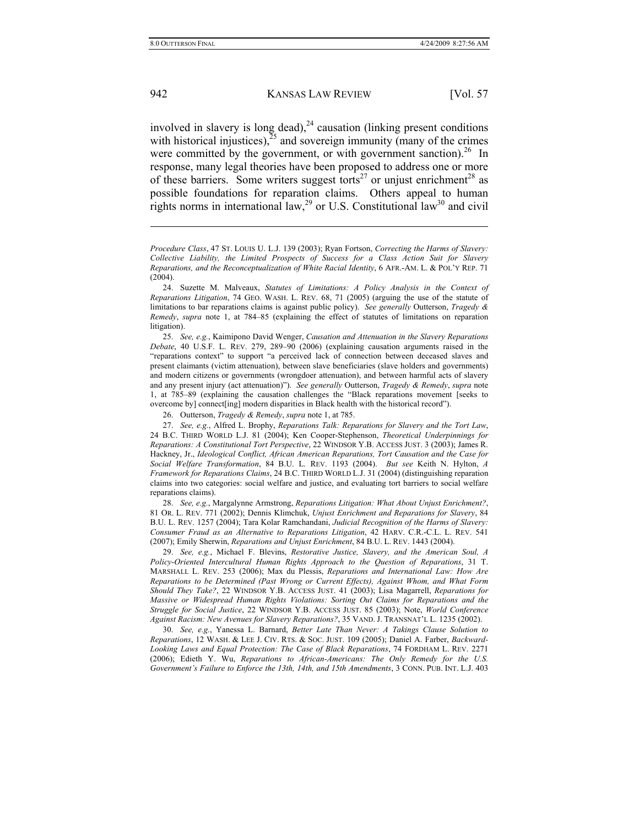1

942 KANSAS LAW REVIEW [Vol. 57

involved in slavery is long dead), $24$  causation (linking present conditions with historical injustices),  $25$  and sovereign immunity (many of the crimes were committed by the government, or with government sanction).<sup>26</sup> In response, many legal theories have been proposed to address one or more of these barriers. Some writers suggest torts<sup>27</sup> or unjust enrichment<sup>28</sup> as possible foundations for reparation claims. Others appeal to human rights norms in international law,<sup>29</sup> or U.S. Constitutional law<sup>30</sup> and civil

26. Outterson, *Tragedy & Remedy*, *supra* note 1, at 785.

27. *See, e.g.*, Alfred L. Brophy, *Reparations Talk: Reparations for Slavery and the Tort Law*, 24 B.C. THIRD WORLD L.J. 81 (2004); Ken Cooper-Stephenson, *Theoretical Underpinnings for Reparations: A Constitutional Tort Perspective*, 22 WINDSOR Y.B. ACCESS JUST. 3 (2003); James R. Hackney, Jr., *Ideological Conflict, African American Reparations, Tort Causation and the Case for Social Welfare Transformation*, 84 B.U. L. REV. 1193 (2004). *But see* Keith N. Hylton, *A Framework for Reparations Claims*, 24 B.C. THIRD WORLD L.J. 31 (2004) (distinguishing reparation claims into two categories: social welfare and justice, and evaluating tort barriers to social welfare reparations claims).

28. *See, e.g.*, Margalynne Armstrong, *Reparations Litigation: What About Unjust Enrichment?*, 81 OR. L. REV. 771 (2002); Dennis Klimchuk, *Unjust Enrichment and Reparations for Slavery*, 84 B.U. L. REV. 1257 (2004); Tara Kolar Ramchandani, *Judicial Recognition of the Harms of Slavery: Consumer Fraud as an Alternative to Reparations Litigation*, 42 HARV. C.R.-C.L. L. REV. 541 (2007); Emily Sherwin, *Reparations and Unjust Enrichment*, 84 B.U. L. REV. 1443 (2004).

29. *See, e.g.*, Michael F. Blevins, *Restorative Justice, Slavery, and the American Soul, A Policy-Oriented Intercultural Human Rights Approach to the Question of Reparations*, 31 T. MARSHALL L. REV. 253 (2006); Max du Plessis, *Reparations and International Law: How Are Reparations to be Determined (Past Wrong or Current Effects), Against Whom, and What Form Should They Take?*, 22 WINDSOR Y.B. ACCESS JUST. 41 (2003); Lisa Magarrell, *Reparations for Massive or Widespread Human Rights Violations: Sorting Out Claims for Reparations and the Struggle for Social Justice*, 22 WINDSOR Y.B. ACCESS JUST. 85 (2003); Note, *World Conference Against Racism: New Avenues for Slavery Reparations?*, 35 VAND. J. TRANSNAT'L L. 1235 (2002).

30. *See, e.g.*, Yanessa L. Barnard, *Better Late Than Never: A Takings Clause Solution to Reparations*, 12 WASH. & LEE J. CIV. RTS. & SOC. JUST. 109 (2005); Daniel A. Farber, *Backward-Looking Laws and Equal Protection: The Case of Black Reparations*, 74 FORDHAM L. REV. 2271 (2006); Edieth Y. Wu, *Reparations to African-Americans: The Only Remedy for the U.S. Government's Failure to Enforce the 13th, 14th, and 15th Amendments*, 3 CONN. PUB. INT. L.J. 403

*Procedure Class*, 47 ST. LOUIS U. L.J. 139 (2003); Ryan Fortson, *Correcting the Harms of Slavery: Collective Liability, the Limited Prospects of Success for a Class Action Suit for Slavery Reparations, and the Reconceptualization of White Racial Identity*, 6 AFR.-AM. L. & POL'Y REP. 71 (2004).

 <sup>24.</sup> Suzette M. Malveaux, *Statutes of Limitations: A Policy Analysis in the Context of Reparations Litigation*, 74 GEO. WASH. L. REV. 68, 71 (2005) (arguing the use of the statute of limitations to bar reparations claims is against public policy). *See generally* Outterson, *Tragedy & Remedy*, *supra* note 1, at 784–85 (explaining the effect of statutes of limitations on reparation litigation).

<sup>25.</sup> *See, e.g.*, Kaimipono David Wenger, *Causation and Attenuation in the Slavery Reparations Debate*, 40 U.S.F. L. REV. 279, 289–90 (2006) (explaining causation arguments raised in the "reparations context" to support "a perceived lack of connection between deceased slaves and present claimants (victim attenuation), between slave beneficiaries (slave holders and governments) and modern citizens or governments (wrongdoer attenuation), and between harmful acts of slavery and any present injury (act attenuation)"). *See generally* Outterson, *Tragedy & Remedy*, *supra* note 1, at 785–89 (explaining the causation challenges the "Black reparations movement [seeks to overcome by] connect[ing] modern disparities in Black health with the historical record").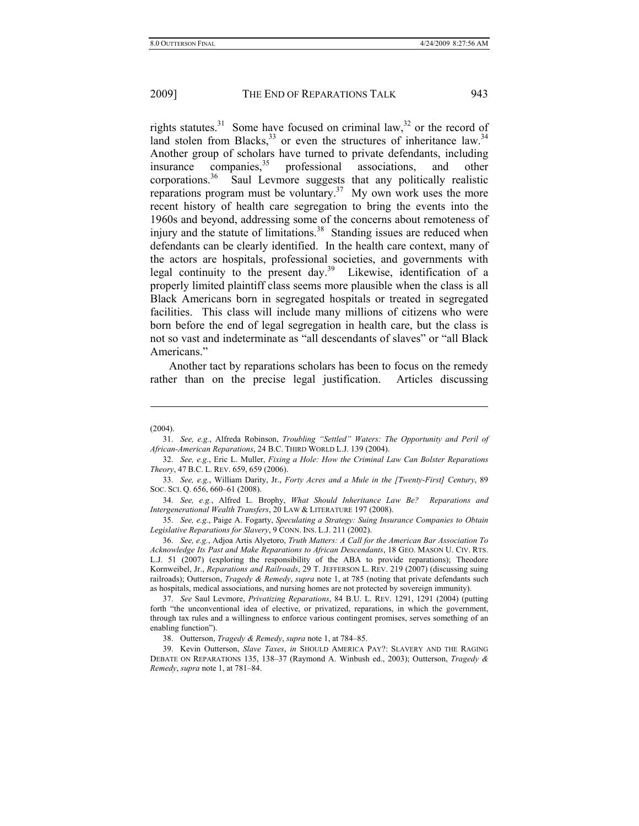rights statutes.<sup>31</sup> Some have focused on criminal law,<sup>32</sup> or the record of land stolen from Blacks,  $33$  or even the structures of inheritance law.<sup>34</sup> Another group of scholars have turned to private defendants, including insurance companies,  $35$  professional associations, and other corporations.  $36$  Saul Levmore suggests that any politically realistic Saul Levmore suggests that any politically realistic reparations program must be voluntary.<sup>37</sup> My own work uses the more recent history of health care segregation to bring the events into the 1960s and beyond, addressing some of the concerns about remoteness of injury and the statute of limitations.<sup>38</sup> Standing issues are reduced when defendants can be clearly identified. In the health care context, many of the actors are hospitals, professional societies, and governments with legal continuity to the present day.39 Likewise, identification of a properly limited plaintiff class seems more plausible when the class is all Black Americans born in segregated hospitals or treated in segregated facilities. This class will include many millions of citizens who were born before the end of legal segregation in health care, but the class is not so vast and indeterminate as "all descendants of slaves" or "all Black Americans."

Another tact by reparations scholars has been to focus on the remedy rather than on the precise legal justification. Articles discussing

-

<sup>(2004).</sup> 

<sup>31.</sup> *See, e.g.*, Alfreda Robinson, *Troubling "Settled" Waters: The Opportunity and Peril of African-American Reparations*, 24 B.C. THIRD WORLD L.J. 139 (2004).

<sup>32.</sup> *See, e.g.*, Eric L. Muller, *Fixing a Hole: How the Criminal Law Can Bolster Reparations Theory*, 47 B.C. L. REV. 659, 659 (2006).

<sup>33.</sup> *See, e.g.*, William Darity, Jr., *Forty Acres and a Mule in the [Twenty-First] Century*, 89 SOC. SCI. Q. 656, 660–61 (2008).

<sup>34.</sup> *See, e.g.*, Alfred L. Brophy, *What Should Inheritance Law Be? Reparations and Intergenerational Wealth Transfers*, 20 LAW & LITERATURE 197 (2008).

<sup>35.</sup> *See, e.g.*, Paige A. Fogarty, *Speculating a Strategy: Suing Insurance Companies to Obtain Legislative Reparations for Slavery*, 9 CONN. INS. L.J. 211 (2002).

<sup>36.</sup> *See, e.g.*, Adjoa Artis Alyetoro, *Truth Matters: A Call for the American Bar Association To Acknowledge Its Past and Make Reparations to African Descendants*, 18 GEO. MASON U. CIV. RTS. L.J. 51 (2007) (exploring the responsibility of the ABA to provide reparations); Theodore Kornweibel, Jr., *Reparations and Railroads*, 29 T. JEFFERSON L. REV. 219 (2007) (discussing suing railroads); Outterson, *Tragedy & Remedy*, *supra* note 1, at 785 (noting that private defendants such as hospitals, medical associations, and nursing homes are not protected by sovereign immunity).

<sup>37.</sup> *See* Saul Levmore, *Privatizing Reparations*, 84 B.U. L. REV. 1291, 1291 (2004) (putting forth "the unconventional idea of elective, or privatized, reparations, in which the government, through tax rules and a willingness to enforce various contingent promises, serves something of an enabling function").

 <sup>38.</sup> Outterson, *Tragedy & Remedy*, *supra* note 1, at 784–85.

 <sup>39.</sup> Kevin Outterson, *Slave Taxes*, *in* SHOULD AMERICA PAY?: SLAVERY AND THE RAGING DEBATE ON REPARATIONS 135, 138–37 (Raymond A. Winbush ed., 2003); Outterson, *Tragedy & Remedy*, *supra* note 1, at 781–84.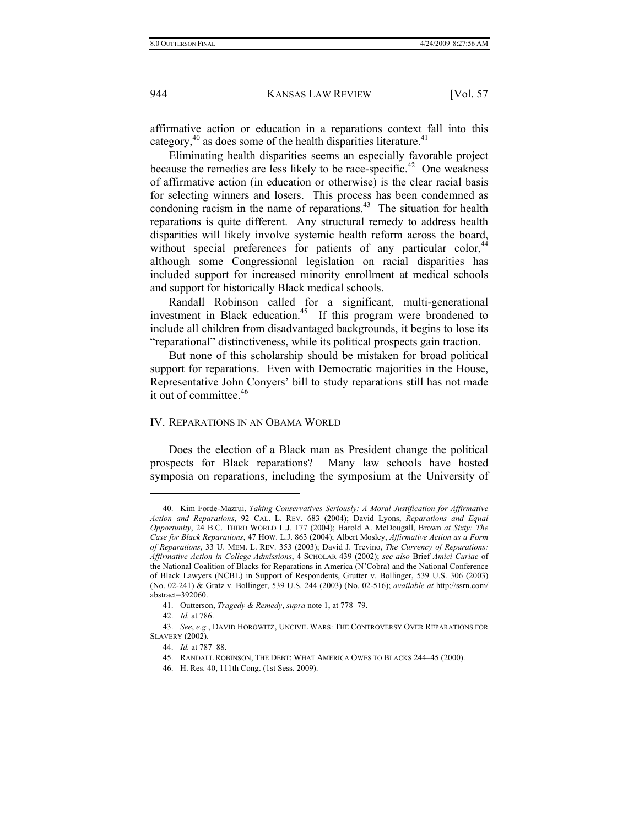affirmative action or education in a reparations context fall into this category, $40$  as does some of the health disparities literature.<sup>41</sup>

Eliminating health disparities seems an especially favorable project because the remedies are less likely to be race-specific.<sup>42</sup> One weakness of affirmative action (in education or otherwise) is the clear racial basis for selecting winners and losers. This process has been condemned as condoning racism in the name of reparations.<sup>43</sup> The situation for health reparations is quite different. Any structural remedy to address health disparities will likely involve systemic health reform across the board, without special preferences for patients of any particular color,<sup>44</sup> although some Congressional legislation on racial disparities has included support for increased minority enrollment at medical schools and support for historically Black medical schools.

Randall Robinson called for a significant, multi-generational investment in Black education.<sup>45</sup> If this program were broadened to include all children from disadvantaged backgrounds, it begins to lose its "reparational" distinctiveness, while its political prospects gain traction.

But none of this scholarship should be mistaken for broad political support for reparations. Even with Democratic majorities in the House, Representative John Conyers' bill to study reparations still has not made it out of committee.<sup>46</sup>

#### IV. REPARATIONS IN AN OBAMA WORLD

Does the election of a Black man as President change the political prospects for Black reparations? Many law schools have hosted symposia on reparations, including the symposium at the University of

 $\overline{a}$ 

 <sup>40.</sup> Kim Forde-Mazrui, *Taking Conservatives Seriously: A Moral Justification for Affirmative Action and Reparations*, 92 CAL. L. REV. 683 (2004); David Lyons, *Reparations and Equal Opportunity*, 24 B.C. THIRD WORLD L.J. 177 (2004); Harold A. McDougall, Brown *at Sixty: The Case for Black Reparations*, 47 HOW. L.J. 863 (2004); Albert Mosley, *Affirmative Action as a Form of Reparations*, 33 U. MEM. L. REV. 353 (2003); David J. Trevino, *The Currency of Reparations: Affirmative Action in College Admissions*, 4 SCHOLAR 439 (2002); *see also* Brief *Amici Curiae* of the National Coalition of Blacks for Reparations in America (N'Cobra) and the National Conference of Black Lawyers (NCBL) in Support of Respondents, Grutter v. Bollinger, 539 U.S. 306 (2003) (No. 02-241) & Gratz v. Bollinger, 539 U.S. 244 (2003) (No. 02-516); *available at* http://ssrn.com/ abstract=392060.

 <sup>41.</sup> Outterson, *Tragedy & Remedy*, *supra* note 1, at 778–79.

<sup>42.</sup> *Id.* at 786.

<sup>43.</sup> *See*, *e.g.*, DAVID HOROWITZ, UNCIVIL WARS: THE CONTROVERSY OVER REPARATIONS FOR SLAVERY (2002).

<sup>44.</sup> *Id.* at 787–88.

 <sup>45.</sup> RANDALL ROBINSON, THE DEBT: WHAT AMERICA OWES TO BLACKS 244–45 (2000).

 <sup>46.</sup> H. Res. 40, 111th Cong. (1st Sess. 2009).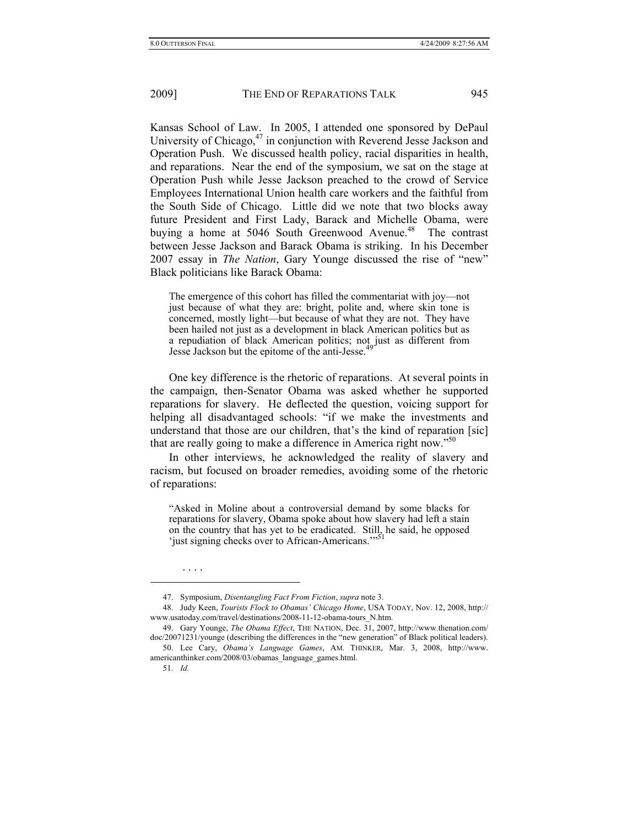Kansas School of Law. In 2005, I attended one sponsored by DePaul University of Chicago, $47$  in conjunction with Reverend Jesse Jackson and Operation Push. We discussed health policy, racial disparities in health, and reparations. Near the end of the symposium, we sat on the stage at Operation Push while Jesse Jackson preached to the crowd of Service Employees International Union health care workers and the faithful from the South Side of Chicago. Little did we note that two blocks away future President and First Lady, Barack and Michelle Obama, were buying a home at 5046 South Greenwood Avenue.<sup>48</sup> The contrast between Jesse Jackson and Barack Obama is striking. In his December 2007 essay in *The Nation*, Gary Younge discussed the rise of "new" Black politicians like Barack Obama:

The emergence of this cohort has filled the commentariat with joy—not just because of what they are: bright, polite and, where skin tone is concerned, mostly light—but because of what they are not. They have been hailed not just as a development in black American politics but as a repudiation of black American politics; not just as different from Jesse Jackson but the epitome of the anti-Jesse.49

One key difference is the rhetoric of reparations. At several points in the campaign, then-Senator Obama was asked whether he supported reparations for slavery. He deflected the question, voicing support for helping all disadvantaged schools: "if we make the investments and understand that those are our children, that's the kind of reparation [sic] that are really going to make a difference in America right now."<sup>50</sup>

In other interviews, he acknowledged the reality of slavery and racism, but focused on broader remedies, avoiding some of the rhetoric of reparations:

"Asked in Moline about a controversial demand by some blacks for reparations for slavery, Obama spoke about how slavery had left a stain on the country that has yet to be eradicated. Still, he said, he opposed 'just signing checks over to African-Americans.'"

 $\overline{a}$ 

. . . .

 <sup>47.</sup> Symposium, *Disentangling Fact From Fiction*, *supra* note 3.

 <sup>48.</sup> Judy Keen, *Tourists Flock to Obamas' Chicago Home*, USA TODAY, Nov. 12, 2008, http:// www.usatoday.com/travel/destinations/2008-11-12-obama-tours\_N.htm.

 <sup>49.</sup> Gary Younge, *The Obama Effect*, THE NATION, Dec. 31, 2007, http://www.thenation.com/ doc/20071231/younge (describing the differences in the "new generation" of Black political leaders).

 <sup>50.</sup> Lee Cary, *Obama's Language Games*, AM. THINKER, Mar. 3, 2008, http://www. americanthinker.com/2008/03/obamas\_language\_games.html.

<sup>51.</sup> *Id.*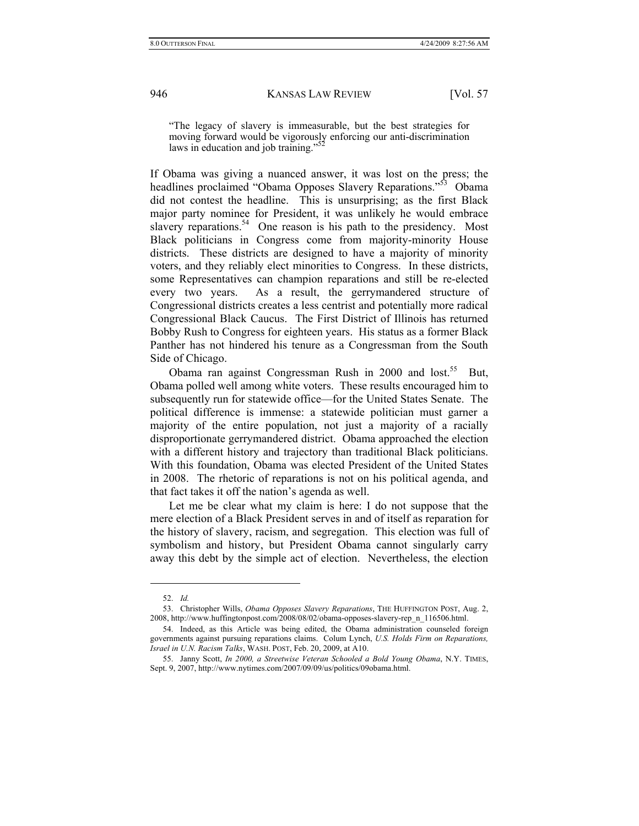"The legacy of slavery is immeasurable, but the best strategies for moving forward would be vigorously enforcing our anti-discrimination laws in education and job training."<sup>52</sup>

If Obama was giving a nuanced answer, it was lost on the press; the headlines proclaimed "Obama Opposes Slavery Reparations."<sup>53</sup> Obama did not contest the headline. This is unsurprising; as the first Black major party nominee for President, it was unlikely he would embrace slavery reparations.<sup>54</sup> One reason is his path to the presidency. Most Black politicians in Congress come from majority-minority House districts. These districts are designed to have a majority of minority voters, and they reliably elect minorities to Congress. In these districts, some Representatives can champion reparations and still be re-elected every two years. As a result, the gerrymandered structure of Congressional districts creates a less centrist and potentially more radical Congressional Black Caucus. The First District of Illinois has returned Bobby Rush to Congress for eighteen years. His status as a former Black Panther has not hindered his tenure as a Congressman from the South Side of Chicago.

Obama ran against Congressman Rush in 2000 and lost.<sup>55</sup> But, Obama polled well among white voters. These results encouraged him to subsequently run for statewide office—for the United States Senate. The political difference is immense: a statewide politician must garner a majority of the entire population, not just a majority of a racially disproportionate gerrymandered district. Obama approached the election with a different history and trajectory than traditional Black politicians. With this foundation, Obama was elected President of the United States in 2008. The rhetoric of reparations is not on his political agenda, and that fact takes it off the nation's agenda as well.

Let me be clear what my claim is here: I do not suppose that the mere election of a Black President serves in and of itself as reparation for the history of slavery, racism, and segregation. This election was full of symbolism and history, but President Obama cannot singularly carry away this debt by the simple act of election. Nevertheless, the election

<sup>52.</sup> *Id.*

 <sup>53.</sup> Christopher Wills, *Obama Opposes Slavery Reparations*, THE HUFFINGTON POST, Aug. 2, 2008, http://www.huffingtonpost.com/2008/08/02/obama-opposes-slavery-rep\_n\_116506.html.

 <sup>54.</sup> Indeed, as this Article was being edited, the Obama administration counseled foreign governments against pursuing reparations claims. Colum Lynch, *U.S. Holds Firm on Reparations, Israel in U.N. Racism Talks*, WASH. POST, Feb. 20, 2009, at A10.

 <sup>55.</sup> Janny Scott, *In 2000, a Streetwise Veteran Schooled a Bold Young Obama*, N.Y. TIMES, Sept. 9, 2007, http://www.nytimes.com/2007/09/09/us/politics/09obama.html.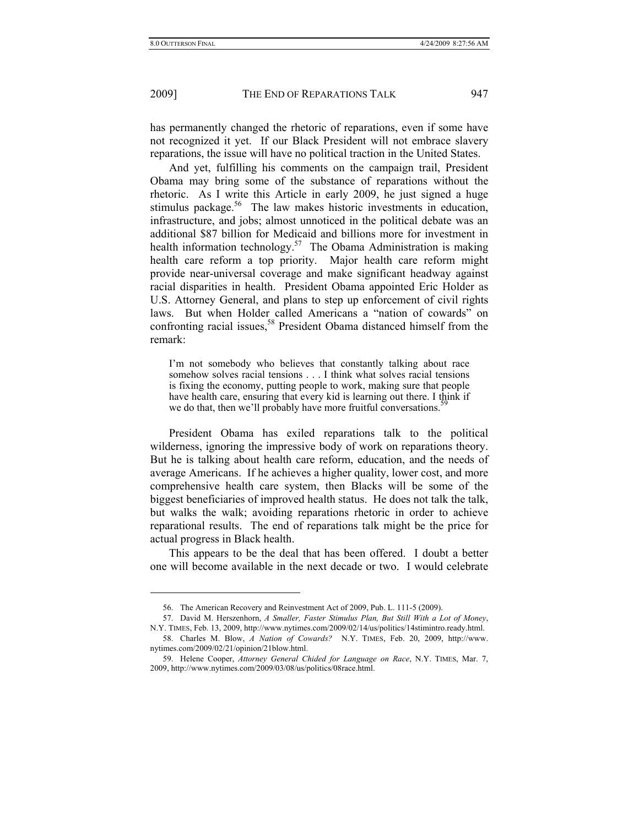$\overline{\phantom{a}}$ 

2009] THE END OF REPARATIONS TALK 947

has permanently changed the rhetoric of reparations, even if some have not recognized it yet. If our Black President will not embrace slavery reparations, the issue will have no political traction in the United States.

And yet, fulfilling his comments on the campaign trail, President Obama may bring some of the substance of reparations without the rhetoric. As I write this Article in early 2009, he just signed a huge stimulus package.<sup>56</sup> The law makes historic investments in education, infrastructure, and jobs; almost unnoticed in the political debate was an additional \$87 billion for Medicaid and billions more for investment in health information technology.<sup>57</sup> The Obama Administration is making health care reform a top priority. Major health care reform might provide near-universal coverage and make significant headway against racial disparities in health. President Obama appointed Eric Holder as U.S. Attorney General, and plans to step up enforcement of civil rights laws. But when Holder called Americans a "nation of cowards" on confronting racial issues,<sup>58</sup> President Obama distanced himself from the remark:

I'm not somebody who believes that constantly talking about race somehow solves racial tensions . . . I think what solves racial tensions is fixing the economy, putting people to work, making sure that people have health care, ensuring that every kid is learning out there. I think if we do that, then we'll probably have more fruitful conversations.

President Obama has exiled reparations talk to the political wilderness, ignoring the impressive body of work on reparations theory. But he is talking about health care reform, education, and the needs of average Americans. If he achieves a higher quality, lower cost, and more comprehensive health care system, then Blacks will be some of the biggest beneficiaries of improved health status. He does not talk the talk, but walks the walk; avoiding reparations rhetoric in order to achieve reparational results. The end of reparations talk might be the price for actual progress in Black health.

This appears to be the deal that has been offered. I doubt a better one will become available in the next decade or two. I would celebrate

 <sup>56.</sup> The American Recovery and Reinvestment Act of 2009, Pub. L. 111-5 (2009).

 <sup>57.</sup> David M. Herszenhorn, *A Smaller, Faster Stimulus Plan, But Still With a Lot of Money*, N.Y. TIMES, Feb. 13, 2009, http://www.nytimes.com/2009/02/14/us/politics/14stimintro.ready.html.

 <sup>58.</sup> Charles M. Blow, *A Nation of Cowards?* N.Y. TIMES, Feb. 20, 2009, http://www. nytimes.com/2009/02/21/opinion/21blow.html.

 <sup>59.</sup> Helene Cooper, *Attorney General Chided for Language on Race*, N.Y. TIMES, Mar. 7, 2009, http://www.nytimes.com/2009/03/08/us/politics/08race.html.